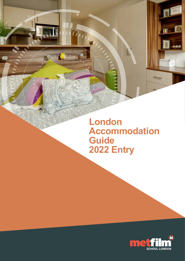**London Accommodation Guide 2022 Entry**

THUNG

 $\mathbf{r}$ 



 $\sum$ 

 $\mathbf{K}$ 

 $000$ 

 $\overline{a}$ 

影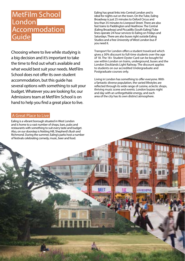# MetFilm School London<sup>1</sup> **Accommodation** Guide

Choosing where to live while studying is a big decision and it's important to take the time to find out what's available and what would best suit your needs. MetFilm School does not offer its own student accommodation, but this guide has several options with something to suit your budget. Whatever you are looking for, our Admissions team at MetFilm School is on hand to help you find a great place to live.

## A Great Place to Live

Ealing is a vibrant borough situated in West London and is home to a vast number of shops, bars, pubs and restaurants with something to suit every taste and budget. Also, on our doorstep is Notting Hill, Shepherd's Bush and Richmond. During the summer, Ealing's parks host a number of festivals celebrating comedy, music, beer and food.

Ealing has great links into Central London and is ideal for nights out on the town. On the Tube, Ealing Broadway is just 25 minutes to Oxford Circus and less than 35 minutes to Liverpool Street. There are also fast trains to Paddington and Heathrow. The Central (Ealing Broadway) and Piccadilly (South Ealing) Tube lines operate 24-hour services to Ealing on Fridays and Saturdays. There are also buses right outside Ealing Studios and a free University of West London bus if you need it.

Transport for London offers a student travelcard which gives a 30% discount to full-time students over the age of 18. The 18+ Student Oyster Card can be bought for use within London on trains, underground, buses and the London Docklands Light Railway. The discount applies to students on our accredited Undergraduate and Postgraduate courses only.

Living in London has something to offer everyone. With a fantastic diverse population, the varied lifestyles are reflected through its wide range of cuisine, eclectic shops, thriving music scene and events. London buzzes night and day with an unforgettable energy, and each area of the city has its own distinct atmosphere.

**Accommodation** Central Studios Ealing

in a non-shared space.

This Studios Ealing at Central Studios Ealing at Central Studios Ealing at Central Studios Ealing at Central Studios Ealing at Central Studios Ealing at Central Studios Ealing at Central Studios Ealing at Central Studios E is super-stylish and in a prime West London location. Suitable for students interested in living independently,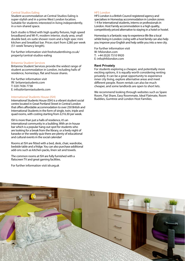## Central Studios Ealing

Student accommodation at Central Studios Ealing is super-stylish and in a prime West London location. Suitable for students interested in living independently, in a non-shared space.

Each studio is fitted with high quality fixtures, high speed broadband and Wi-Fi, modern interior, study area, small double bed, en-suite shower room and a high spec mini kitchen and breakfast bar. Prices start from £280 per week (51-week Tenancy length).

For further information visit [freshstudentliving.co.uk/](http://freshstudentliving.co.uk/property/central-studios-ealing) [property/central-studios-ealing](http://freshstudentliving.co.uk/property/central-studios-ealing) 

### Britannia Student Services

Britannia Student Services provide the widest range of student accommodation in London, including halls of residence, homestays, flat and house shares.

For further information visit W: [britanniastudents.com](http://britanniastudents.com) T: 020 7436 7738 E: info@britanniastudents.com

## International Students House (ISH)

International Students House (ISH) is a vibrant student social centre located in Great Portland Street in Central London that offers affordable accommodation to over 250 British and International Students in the form of single, twin, triple and quad rooms, with costing starting from £216.30 per week.

ISH is more than just a halls of residence, it's an international community in a building. With an in-house bar which is a popular hang-out spot for students who are looking for a break from the library, or a lively night of karaoke or the weekly quiz there are plenty of educational and cultural events in the social calendar!

Rooms at ISH are fitted with a bed, desk, chair, wardrobe, bedside table and a fridge. You can also purchase additional add-ons such as kitchen packs, linen set and towels.

The common rooms at ISH are fully furnished with a flatscreen TV and great gaming facilities.

For further information visit [ish.org.uk](http://ish.org.uk) 

### HFS London

HFS London is a British Council registered agency and specialises in Homestay accommodation in London zones 1-4 for international students, interns or professionals in London. Host Family accommodation is a high quality, competitively priced alternative to staying in a hotel or hostel.

Homestay is a fantastic way to experience life like a local whilst living in London. Living with a host family can also help you improve your English and help settle you into a new city.

For further information visit W: [hfslondon.com](http://hfslondon.com) T: +44 (0)20 7510 9920 E: info@hfslondon.com

#### **Rent Privately**

For students exploring a cheaper, and potentially more exciting options, it is equally worth considering renting privately. It can be a great opportunity to experience inner city living, explore alternative areas and meet different people. Room rentals can also be much cheaper, and some landlords are open to short lets.

We recommend looking through websites such as Spare Room, Flat Share, Easy Roommate, Ideal Flatmate, Room Buddies, Gumtree and London Host Families.